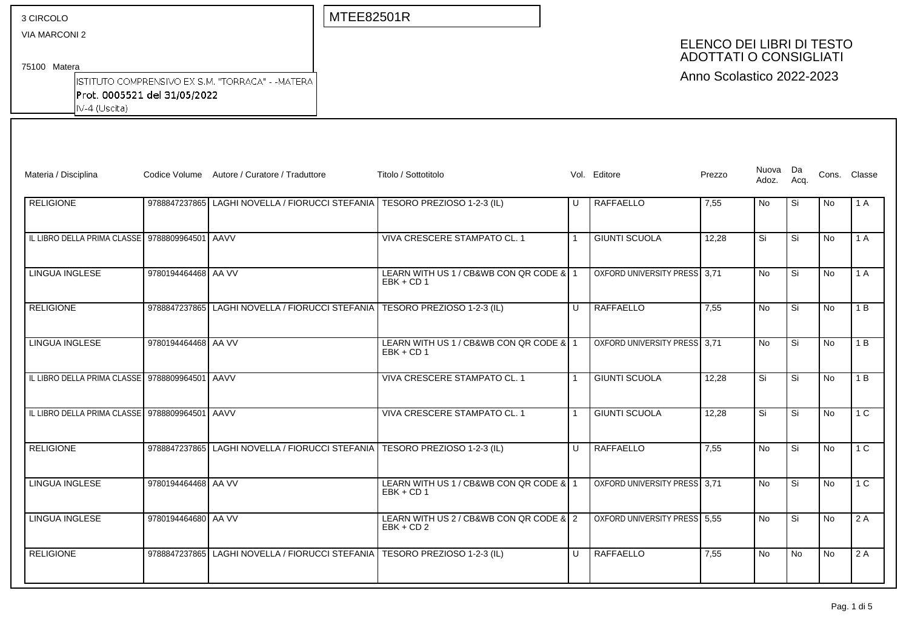| 3 CIRCOLO |
|-----------|
|-----------|

VIA MARCONI 2

MTEE82501R

# ELENCO DEI LIBRI DI TESTO ADOTTATI O CONSIGLIATI

Anno Scolastico 2022-2023

75100 Matera

ISTITUTO COMPRENSIVO EX S.M. "TORRACA" - - MATERA Prot. 0005521 del 31/05/2022  $\sqrt{\frac{1}{4} \cdot \frac{1}{1}}$ 

| Materia / Disciplina                           |                     | Codice Volume Autore / Curatore / Traduttore | Titolo / Sottotitolo                                    |              | Vol. Editore                 | Prezzo | Nuova Da<br>Adoz. | Aca.      |                | Cons. Classe   |
|------------------------------------------------|---------------------|----------------------------------------------|---------------------------------------------------------|--------------|------------------------------|--------|-------------------|-----------|----------------|----------------|
| <b>RELIGIONE</b>                               | 9788847237865       | LAGHI NOVELLA / FIORUCCI STEFANIA            | TESORO PREZIOSO 1-2-3 (IL)                              | IJ           | RAFFAELLO                    | 7,55   | No                | Si        | No             | 1 A            |
| IL LIBRO DELLA PRIMA CLASSE 9788809964501 AAVV |                     |                                              | VIVA CRESCERE STAMPATO CL. 1                            |              | <b>GIUNTI SCUOLA</b>         | 12,28  | Si                | Si        | <b>No</b>      | 1 A            |
| <b>LINGUA INGLESE</b>                          | 9780194464468 AA VV |                                              | LEARN WITH US 1 / CB&WB CON QR CODE & 1<br>$EBK + CD 1$ |              | OXFORD UNIVERSITY PRESS 3,71 |        | <b>No</b>         | Si        | N <sub>o</sub> | 1 A            |
| <b>RELIGIONE</b>                               | 9788847237865       | LAGHI NOVELLA / FIORUCCI STEFANIA            | TESORO PREZIOSO 1-2-3 (IL)                              | $\cup$       | <b>RAFFAELLO</b>             | 7,55   | <b>No</b>         | Si        | N <sub>o</sub> | 1 B            |
| <b>LINGUA INGLESE</b>                          | 9780194464468 AA VV |                                              | LEARN WITH US 1 / CB&WB CON QR CODE & 1<br>$EBK + CD 1$ |              | OXFORD UNIVERSITY PRESS 3.71 |        | <b>No</b>         | Si        | N <sub>o</sub> | 1B             |
| IL LIBRO DELLA PRIMA CLASSE 9788809964501 AAVV |                     |                                              | VIVA CRESCERE STAMPATO CL. 1                            |              | <b>GIUNTI SCUOLA</b>         | 12,28  | Si                | Si        | N <sub>o</sub> | 1B             |
| IL LIBRO DELLA PRIMA CLASSE 9788809964501 AAVV |                     |                                              | VIVA CRESCERE STAMPATO CL. 1                            |              | <b>GIUNTI SCUOLA</b>         | 12,28  | Si                | Si        | N <sub>o</sub> | 1 <sup>C</sup> |
| <b>RELIGIONE</b>                               | 9788847237865       | LAGHI NOVELLA / FIORUCCI STEFANIA            | TESORO PREZIOSO 1-2-3 (IL)                              | $\mathbf{U}$ | <b>RAFFAELLO</b>             | 7,55   | <b>No</b>         | Si        | N <sub>o</sub> | 1 <sup>C</sup> |
| <b>LINGUA INGLESE</b>                          | 9780194464468 AA VV |                                              | LEARN WITH US 1 / CB&WB CON QR CODE & 1<br>$EBK + CD 1$ |              | OXFORD UNIVERSITY PRESS 3.71 |        | <b>No</b>         | Si        | <b>No</b>      | 1 C            |
| <b>LINGUA INGLESE</b>                          | 9780194464680 AA VV |                                              | LEARN WITH US 2 / CB&WB CON QR CODE & 2<br>$EBK + CD2$  |              | OXFORD UNIVERSITY PRESS 5,55 |        | <b>No</b>         | Si        | <b>No</b>      | 2A             |
| <b>RELIGIONE</b>                               | 9788847237865       | LAGHI NOVELLA / FIORUCCI STEFANIA            | TESORO PREZIOSO 1-2-3 (IL)                              | $\cup$       | <b>RAFFAELLO</b>             | 7,55   | <b>No</b>         | <b>No</b> | No             | 2 A            |
|                                                |                     |                                              |                                                         |              |                              |        |                   |           |                |                |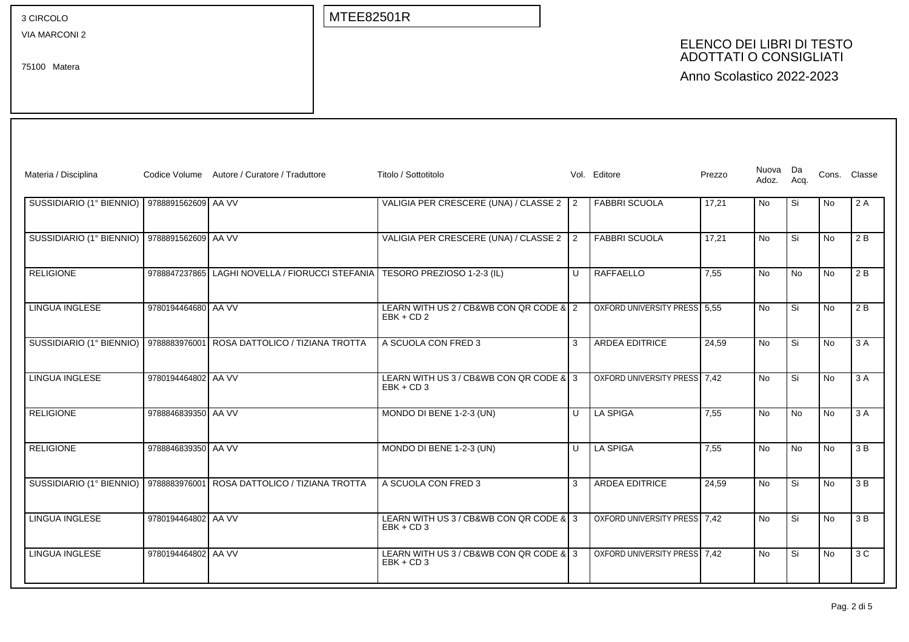VIA MARCONI 2

75100 Matera

MTEE82501R

# ELENCO DEI LIBRI DI TESTO ADOTTATI O CONSIGLIATI

| Materia / Disciplina     |                     | Codice Volume Autore / Curatore / Traduttore | Titolo / Sottotitolo                                   |        | Vol. Editore                 | Prezzo | Nuova Da<br>Adoz. | Acq.      |           | Cons. Classe |
|--------------------------|---------------------|----------------------------------------------|--------------------------------------------------------|--------|------------------------------|--------|-------------------|-----------|-----------|--------------|
| SUSSIDIARIO (1° BIENNIO) | 9788891562609 AA VV |                                              | VALIGIA PER CRESCERE (UNA) / CLASSE 2 2                |        | <b>FABBRI SCUOLA</b>         | 17,21  | <b>No</b>         | Si        | No        | 2 A          |
| SUSSIDIARIO (1° BIENNIO) | 9788891562609 AA VV |                                              | VALIGIA PER CRESCERE (UNA) / CLASSE 2 2                |        | <b>FABBRI SCUOLA</b>         | 17.21  | No                | Si        | No        | 2 B          |
| <b>RELIGIONE</b>         | 9788847237865       | LAGHI NOVELLA / FIORUCCI STEFANIA            | TESORO PREZIOSO 1-2-3 (IL)                             | U      | RAFFAELLO                    | 7,55   | <b>No</b>         | No        | <b>No</b> | 2B           |
| <b>LINGUA INGLESE</b>    | 9780194464680 AA VV |                                              | LEARN WITH US 2 / CB&WB CON QR CODE & 2<br>$EBK + CD2$ |        | OXFORD UNIVERSITY PRESS 5,55 |        | <b>No</b>         | Si        | No        | 2B           |
| SUSSIDIARIO (1° BIENNIO) | 9788883976001       | ROSA DATTOLICO / TIZIANA TROTTA              | A SCUOLA CON FRED 3                                    | 3      | <b>ARDEA EDITRICE</b>        | 24,59  | <b>No</b>         | Si        | No        | 3 A          |
| LINGUA INGLESE           | 9780194464802 AA VV |                                              | LEARN WITH US 3 / CB&WB CON QR CODE & 3<br>$EBK + CD3$ |        | OXFORD UNIVERSITY PRESS 7.42 |        | <b>No</b>         | Si        | <b>No</b> | 3 A          |
| <b>RELIGIONE</b>         | 9788846839350 AA VV |                                              | MONDO DI BENE 1-2-3 (UN)                               | $\cup$ | <b>LA SPIGA</b>              | 7,55   | <b>No</b>         | <b>No</b> | <b>No</b> | 3A           |
| <b>RELIGIONE</b>         | 9788846839350 AA VV |                                              | MONDO DI BENE 1-2-3 (UN)                               | $\cup$ | LA SPIGA                     | 7,55   | <b>No</b>         | <b>No</b> | <b>No</b> | 3 B          |
| SUSSIDIARIO (1° BIENNIO) | 9788883976001       | ROSA DATTOLICO / TIZIANA TROTTA              | A SCUOLA CON FRED 3                                    | 3      | <b>ARDEA EDITRICE</b>        | 24,59  | <b>No</b>         | Si        | <b>No</b> | 3 B          |
| <b>LINGUA INGLESE</b>    | 9780194464802 AA VV |                                              | LEARN WITH US 3 / CB&WB CON QR CODE & 3<br>$EBK + CD3$ |        | OXFORD UNIVERSITY PRESS 7.42 |        | <b>No</b>         | Si        | <b>No</b> | 3 B          |
| <b>LINGUA INGLESE</b>    | 9780194464802 AA VV |                                              | LEARN WITH US 3 / CB&WB CON QR CODE & 3<br>$EBK + CD3$ |        | OXFORD UNIVERSITY PRESS 7,42 |        | $\overline{No}$   | Si        | No        | 3C           |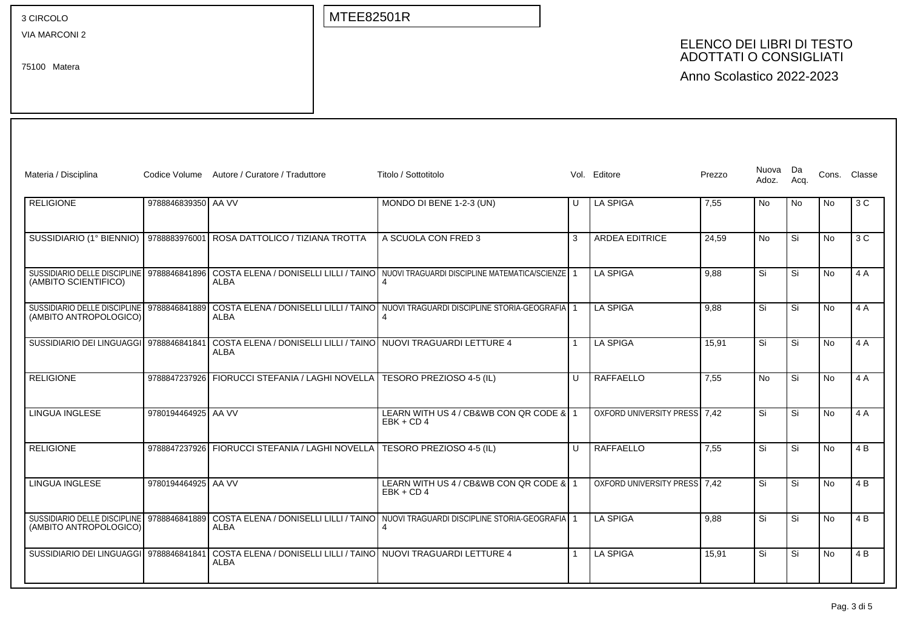VIA MARCONI 2

75100 Matera

MTEE82501R

## ELENCO DEI LIBRI DI TESTO ADOTTATI O CONSIGLIATI

| Materia / Disciplina                                                 |                     | Codice Volume Autore / Curatore / Traduttore                                   | Titolo / Sottotitolo                                                                  |              | Vol. Editore                 | Prezzo | Nuova Da<br>Adoz. | Aca.      |           | Cons. Classe   |
|----------------------------------------------------------------------|---------------------|--------------------------------------------------------------------------------|---------------------------------------------------------------------------------------|--------------|------------------------------|--------|-------------------|-----------|-----------|----------------|
| <b>RELIGIONE</b>                                                     | 9788846839350 AA VV |                                                                                | MONDO DI BENE 1-2-3 (UN)                                                              | U            | <b>LA SPIGA</b>              | 7,55   | <b>No</b>         | <b>No</b> | No        | 3 C            |
| SUSSIDIARIO (1° BIENNIO)                                             | 9788883976001       | ROSA DATTOLICO / TIZIANA TROTTA                                                | A SCUOLA CON FRED 3                                                                   | 3            | <b>ARDEA EDITRICE</b>        | 24.59  | <b>No</b>         | Si        | <b>No</b> | 3C             |
| SUSSIDIARIO DELLE DISCIPLINE<br>(AMBITO SCIENTIFICO)                 | 9788846841896       | ALBA                                                                           | COSTA ELENA / DONISELLI LILLI / TAINO NUOVI TRAGUARDI DISCIPLINE MATEMATICA/SCIENZE   |              | <b>LA SPIGA</b>              | 9.88   | Si                | Si        | <b>No</b> | 4 A            |
| SUSSIDIARIO DELLE DISCIPLINE<br>(AMBITO ANTROPOLOGICO)               | 9788846841889       | <b>ALBA</b>                                                                    | COSTA ELENA / DONISELLI LILLI / TAINO NUOVI TRAGUARDI DISCIPLINE STORIA-GEOGRAFIA   1 |              | <b>LA SPIGA</b>              | 9,88   | Si                | Si        | <b>No</b> | 4 A            |
| SUSSIDIARIO DEI LINGUAGGI 9788846841841                              |                     | COSTA ELENA / DONISELLI LILLI / TAINO   NUOVI TRAGUARDI LETTURE 4<br>ALBA      |                                                                                       | $\mathbf{1}$ | <b>LA SPIGA</b>              | 15,91  | Si                | Si        | <b>No</b> | 4 A            |
| <b>RELIGIONE</b>                                                     | 9788847237926       | FIORUCCI STEFANIA / LAGHI NOVELLA   TESORO PREZIOSO 4-5 (IL)                   |                                                                                       | $\cup$       | <b>RAFFAELLO</b>             | 7,55   | <b>No</b>         | Si        | <b>No</b> | 4 A            |
| <b>LINGUA INGLESE</b>                                                | 9780194464925 AA VV |                                                                                | LEARN WITH US 4 / CB&WB CON QR CODE & 1<br>$EBK + CD4$                                |              | OXFORD UNIVERSITY PRESS 7.42 |        | Si                | Si        | <b>No</b> | 4 A            |
| <b>RELIGIONE</b>                                                     | 9788847237926       | FIORUCCI STEFANIA / LAGHI NOVELLA                                              | TESORO PREZIOSO 4-5 (IL)                                                              | $\cup$       | RAFFAELLO                    | 7,55   | Si                | Si        | <b>No</b> | 4 <sub>B</sub> |
| <b>LINGUA INGLESE</b>                                                | 9780194464925 AA VV |                                                                                | LEARN WITH US 4 / CB&WB CON QR CODE & 1<br>$EBK + CD4$                                |              | OXFORD UNIVERSITY PRESS 7.42 |        | Si                | Si        | No        | 4 <sub>B</sub> |
| SUSSIDIARIO DELLE DISCIPLINE 9788846841889<br>(AMBITO ANTROPOLOGICO) |                     | <b>ALBA</b>                                                                    | COSTA ELENA / DONISELLI LILLI / TAINO NUOVI TRAGUARDI DISCIPLINE STORIA-GEOGRAFIA     |              | <b>LA SPIGA</b>              | 9.88   | Si                | Si        | <b>No</b> | 4 B            |
| SUSSIDIARIO DEI LINGUAGGI 9788846841841                              |                     | COSTA ELENA / DONISELLI LILLI / TAINO NUOVI TRAGUARDI LETTURE 4<br><b>ALBA</b> |                                                                                       |              | <b>LA SPIGA</b>              | 15.91  | Si                | Si        | No        | 4 B            |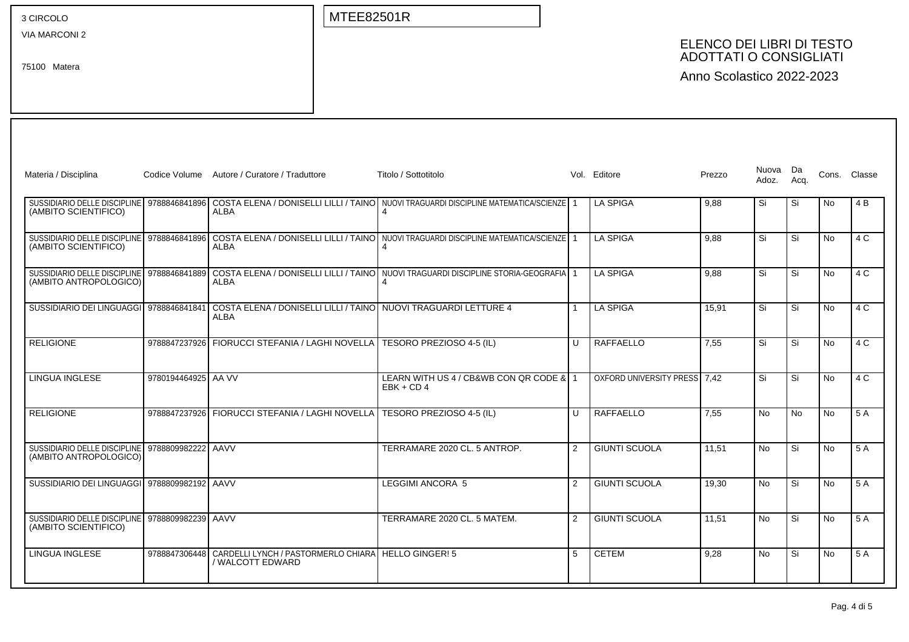VIA MARCONI 2

75100 Matera

MTEE82501R

# ELENCO DEI LIBRI DI TESTO ADOTTATI O CONSIGLIATI

| Materia / Disciplina                                                    |                     | Codice Volume Autore / Curatore / Traduttore                                                                    | Titolo / Sottotitolo                                                                         | Vol.           | Editore                      | Prezzo | Nuova Da<br>Adoz. | Acq. |           | Cons. Classe |
|-------------------------------------------------------------------------|---------------------|-----------------------------------------------------------------------------------------------------------------|----------------------------------------------------------------------------------------------|----------------|------------------------------|--------|-------------------|------|-----------|--------------|
| SUSSIDIARIO DELLE DISCIPLINE 9788846841896<br>(AMBITO SCIENTIFICO)      |                     | <b>ALBA</b>                                                                                                     | COSTA ELENA / DONISELLI LILLI / TAINO NUOVI TRAGUARDI DISCIPLINE MATEMATICA/SCIENZE   1<br>4 |                | <b>LA SPIGA</b>              | 9,88   | Si                | Si   | <b>No</b> | 4 B          |
| SUSSIDIARIO DELLE DISCIPLINE   9788846841896<br>(AMBITO SCIENTIFICO)    |                     | ALBA                                                                                                            | COSTA ELENA / DONISELLI LILLI / TAINO NUOVI TRAGUARDI DISCIPLINE MATEMATICA/SCIENZE   1      |                | LA SPIGA                     | 9.88   | Si                | Si   | No        | 4 C          |
| SUSSIDIARIO DELLE DISCIPLINE<br>(AMBITO ANTROPOLOGICO)                  | 9788846841889       | ALBA                                                                                                            | COSTA ELENA / DONISELLI LILLI / TAINO NUOVI TRAGUARDI DISCIPLINE STORIA-GEOGRAFIA   1        |                | LA SPIGA                     | 9.88   | Si                | Si   | <b>No</b> | 4 C          |
|                                                                         |                     | SUSSIDIARIO DEI LINGUAGGI 9788846841841 COSTA ELENA / DONISELLI LILLI / TAINO NUOVI TRAGUARDI LETTURE 4<br>ALBA |                                                                                              |                | <b>LA SPIGA</b>              | 15.91  | Si                | Si   | No        | 4 C          |
| <b>RELIGIONE</b>                                                        |                     | 9788847237926 FIORUCCI STEFANIA / LAGHI NOVELLA                                                                 | TESORO PREZIOSO 4-5 (IL)                                                                     | $\cup$         | RAFFAELLO                    | 7.55   | Si                | Si   | <b>No</b> | 4 C          |
| LINGUA INGLESE                                                          | 9780194464925 AA VV |                                                                                                                 | LEARN WITH US 4 / CB&WB CON QR CODE & 1<br>$EBK + CD4$                                       |                | OXFORD UNIVERSITY PRESS 7.42 |        | Si                | Si   | No        | 4 C          |
| RELIGIONE                                                               |                     | 9788847237926 FIORUCCI STEFANIA / LAGHI NOVELLA                                                                 | TESORO PREZIOSO 4-5 (IL)                                                                     | $\mathbf{U}$   | RAFFAELLO                    | 7.55   | <b>No</b>         | No.  | No        | 5 A          |
| SUSSIDIARIO DELLE DISCIPLINE<br>(AMBITO ANTROPOLOGICO)                  | 9788809982222       | AAVV                                                                                                            | TERRAMARE 2020 CL, 5 ANTROP.                                                                 | $\overline{2}$ | <b>GIUNTI SCUOLA</b>         | 11,51  | <b>No</b>         | Si   | <b>No</b> | 5 A          |
| SUSSIDIARIO DEI LINGUAGGI 9788809982192 AAVV                            |                     |                                                                                                                 | <b>LEGGIMI ANCORA 5</b>                                                                      | $\mathcal{P}$  | <b>GIUNTI SCUOLA</b>         | 19.30  | <b>No</b>         | Si   | No        | 5 A          |
| SUSSIDIARIO DELLE DISCIPLINE 9788809982239 AAVV<br>(AMBITO SCIENTIFICO) |                     |                                                                                                                 | TERRAMARE 2020 CL, 5 MATEM.                                                                  | $\overline{2}$ | <b>GIUNTI SCUOLA</b>         | 11.51  | <b>No</b>         | Si   | No        | 5 A          |
| LINGUA INGLESE                                                          | 9788847306448       | CARDELLI LYNCH / PASTORMERLO CHIARA   HELLO GINGER! 5<br>/ WALCOTT EDWARD                                       |                                                                                              | 5              | <b>CETEM</b>                 | 9,28   | <b>No</b>         | Si   | No        | 5 A          |